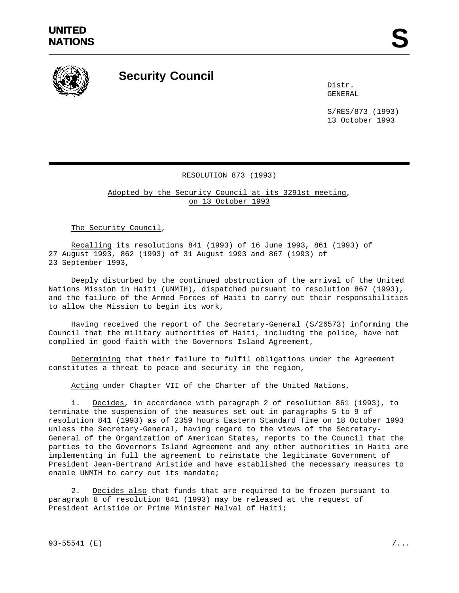

## **Security Council**

Distr. GENERAL

S/RES/873 (1993) 13 October 1993

## RESOLUTION 873 (1993)

Adopted by the Security Council at its 3291st meeting, on 13 October 1993

The Security Council,

Recalling its resolutions 841 (1993) of 16 June 1993, 861 (1993) of 27 August 1993, 862 (1993) of 31 August 1993 and 867 (1993) of 23 September 1993,

Deeply disturbed by the continued obstruction of the arrival of the United Nations Mission in Haiti (UNMIH), dispatched pursuant to resolution 867 (1993), and the failure of the Armed Forces of Haiti to carry out their responsibilities to allow the Mission to begin its work,

Having received the report of the Secretary-General (S/26573) informing the Council that the military authorities of Haiti, including the police, have not complied in good faith with the Governors Island Agreement,

Determining that their failure to fulfil obligations under the Agreement constitutes a threat to peace and security in the region,

Acting under Chapter VII of the Charter of the United Nations,

1. Decides, in accordance with paragraph 2 of resolution 861 (1993), to terminate the suspension of the measures set out in paragraphs 5 to 9 of resolution 841 (1993) as of 2359 hours Eastern Standard Time on 18 October 1993 unless the Secretary-General, having regard to the views of the Secretary-General of the Organization of American States, reports to the Council that the parties to the Governors Island Agreement and any other authorities in Haiti are implementing in full the agreement to reinstate the legitimate Government of President Jean-Bertrand Aristide and have established the necessary measures to enable UNMIH to carry out its mandate;

2. Decides also that funds that are required to be frozen pursuant to paragraph 8 of resolution 841 (1993) may be released at the request of President Aristide or Prime Minister Malval of Haiti;